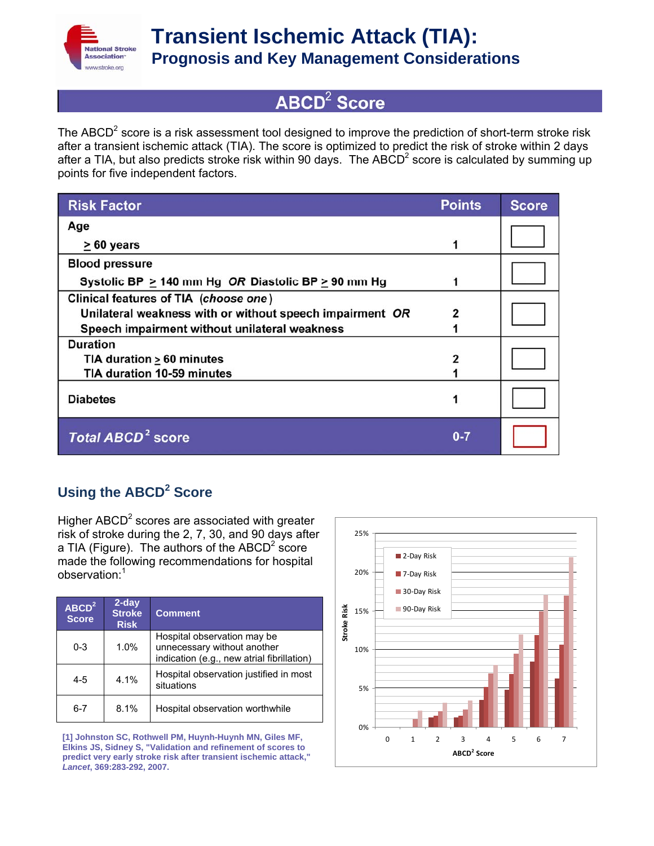

# $ABCD<sup>2</sup>$  Score

The ABCD<sup>2</sup> score is a risk assessment tool designed to improve the prediction of short-term stroke risk after a transient ischemic attack (TIA). The score is optimized to predict the risk of stroke within 2 days after a TIA, but also predicts stroke risk within 90 days. The ABCD<sup>2</sup> score is calculated by summing up points for five independent factors.

| <b>Risk Factor</b>                                       | <b>Points</b> | <b>Score</b> |
|----------------------------------------------------------|---------------|--------------|
| Age                                                      |               |              |
| $\geq 60$ years                                          |               |              |
| <b>Blood pressure</b>                                    |               |              |
| Systolic BP > 140 mm Hg OR Diastolic BP > 90 mm Hg       |               |              |
| Clinical features of TIA (choose one)                    |               |              |
| Unilateral weakness with or without speech impairment OR | 2             |              |
| Speech impairment without unilateral weakness            |               |              |
| <b>Duration</b>                                          |               |              |
| TIA duration $\geq 60$ minutes                           |               |              |
| TIA duration 10-59 minutes                               |               |              |
| <b>Diabetes</b>                                          |               |              |
| <b>Total ABCD<sup>2</sup> score</b>                      | $0 - 7$       |              |

### Using the ABCD<sup>2</sup> Score

Higher ABCD<sup>2</sup> scores are associated with greater risk of stroke during the 2, 7, 30, and 90 days after a TIA (Figure). The authors of the ABCD<sup>2</sup> score made the following recommendations for hospital observation:<sup>1</sup>

| $ABCD^2$<br><b>Score</b> | 2-day<br><b>Stroke</b><br><b>Risk</b> | <b>Comment</b>                                                                                           |
|--------------------------|---------------------------------------|----------------------------------------------------------------------------------------------------------|
| $0 - 3$                  | 1.0%                                  | Hospital observation may be<br>unnecessary without another<br>indication (e.g., new atrial fibrillation) |
| $4 - 5$                  | $4.1\%$                               | Hospital observation justified in most<br>situations                                                     |
| 6-7                      | 8.1%                                  | Hospital observation worthwhile                                                                          |

**[1] Johnston SC, Rothwell PM, Huynh-Huynh MN, Giles MF, Elkins JS, Sidney S, "Validation and refinement of scores to predict very early stroke risk after transient ischemic attack,"**  *Lancet***, 369:283-292, 2007.**